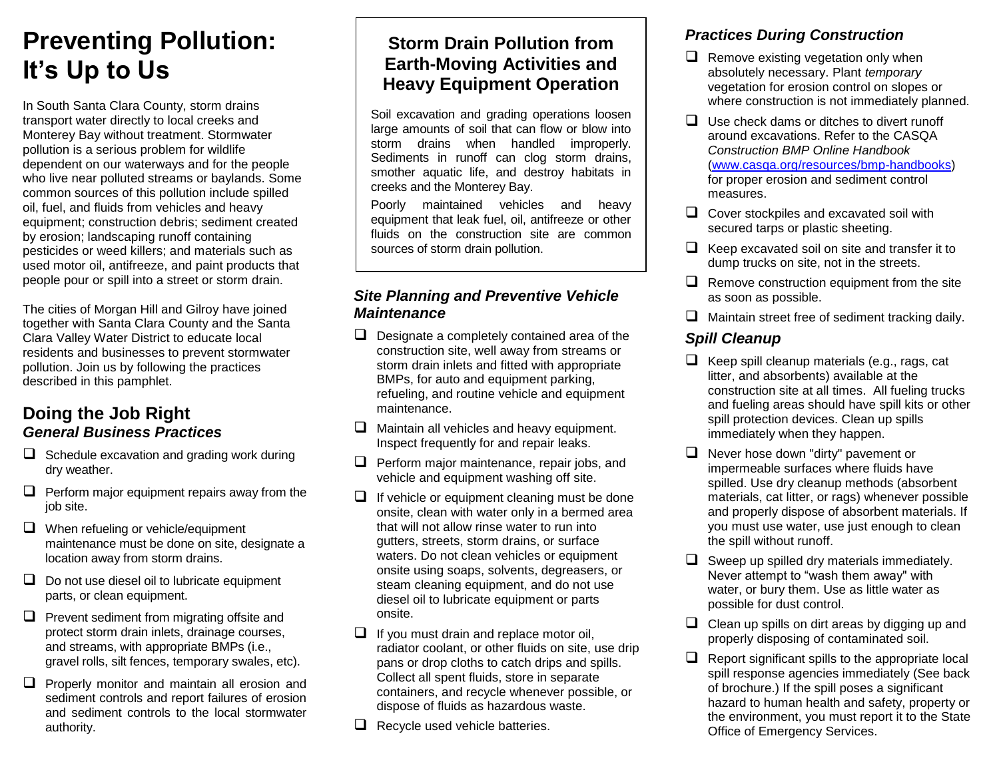# **Preventing Pollution: It's Up to Us**

In South Santa Clara County, storm drains transport water directly to local creeks and Monterey Bay without treatment. Stormwater pollution is a serious problem for wildlife dependent on our waterways and for the people who live near polluted streams or baylands. Some common sources of this pollution include spilled oil, fuel, and fluids from vehicles and heavy equipment; construction debris; sediment created by erosion; landscaping runoff containing pesticides or weed killers; and materials such as used motor oil, antifreeze, and paint products that people pour or spill into a street or storm drain.

The cities of Morgan Hill and Gilroy have joined together with Santa Clara County and the Santa Clara Valley Water District to educate local residents and businesses to prevent stormwater pollution. Join us by following the practices described in this pamphlet.

### **Doing the Job Right** *General Business Practices*

- $\Box$  Schedule excavation and grading work during dry weather.
- $\Box$  Perform major equipment repairs away from the job site.
- $\Box$  When refueling or vehicle/equipment maintenance must be done on site, designate a location away from storm drains.
- $\Box$  Do not use diesel oil to lubricate equipment parts, or clean equipment.
- $\Box$  Prevent sediment from migrating offsite and protect storm drain inlets, drainage courses, and streams, with appropriate BMPs (i.e., gravel rolls, silt fences, temporary swales, etc).
- $\Box$  Properly monitor and maintain all erosion and sediment controls and report failures of erosion and sediment controls to the local stormwater authority.

# **Storm Drain Pollution from Earth-Moving Activities and Heavy Equipment Operation**

Soil excavation and grading operations loosen large amounts of soil that can flow or blow into storm drains when handled improperly. Sediments in runoff can clog storm drains, smother aquatic life, and destroy habitats in creeks and the Monterey Bay.

Poorly maintained vehicles and heavy equipment that leak fuel, oil, antifreeze or other fluids on the construction site are common sources of storm drain pollution.

#### *Site Planning and Preventive Vehicle Maintenance*

- $\Box$  Designate a completely contained area of the construction site, well away from streams or storm drain inlets and fitted with appropriate BMPs, for auto and equipment parking, refueling, and routine vehicle and equipment maintenance.
- $\Box$  Maintain all vehicles and heavy equipment. Inspect frequently for and repair leaks.
- $\Box$  Perform major maintenance, repair jobs, and vehicle and equipment washing off site.
- $\Box$  If vehicle or equipment cleaning must be done onsite, clean with water only in a bermed area that will not allow rinse water to run into gutters, streets, storm drains, or surface waters. Do not clean vehicles or equipment onsite using soaps, solvents, degreasers, or steam cleaning equipment, and do not use diesel oil to lubricate equipment or parts onsite.
- $\Box$  If you must drain and replace motor oil. radiator coolant, or other fluids on site, use drip pans or drop cloths to catch drips and spills. Collect all spent fluids, store in separate containers, and recycle whenever possible, or dispose of fluids as hazardous waste.
- $\Box$  Recycle used vehicle batteries.

# *Practices During Construction*

- $\Box$  Remove existing vegetation only when absolutely necessary. Plant *temporary* vegetation for erosion control on slopes or where construction is not immediately planned.
- $\Box$  Use check dams or ditches to divert runoff around excavations. Refer to the CASQA *Construction BMP Online Handbook* [\(www.casqa.org/resources/bmp-handbooks\)](http://www.casqa.org/resources/bmp-handbooks) for proper erosion and sediment control measures.
- $\Box$  Cover stockpiles and excavated soil with secured tarps or plastic sheeting.
- $\Box$  Keep excavated soil on site and transfer it to dump trucks on site, not in the streets.
- $\Box$  Remove construction equipment from the site as soon as possible.
- $\Box$  Maintain street free of sediment tracking daily.

# *Spill Cleanup*

- $\Box$  Keep spill cleanup materials (e.g., rags, cat litter, and absorbents) available at the construction site at all times. All fueling trucks and fueling areas should have spill kits or other spill protection devices. Clean up spills immediately when they happen.
- $\Box$  Never hose down "dirty" pavement or impermeable surfaces where fluids have spilled. Use dry cleanup methods (absorbent materials, cat litter, or rags) whenever possible and properly dispose of absorbent materials. If you must use water, use just enough to clean the spill without runoff.
- $\Box$  Sweep up spilled dry materials immediately. Never attempt to "wash them away" with water, or bury them. Use as little water as possible for dust control.
- $\Box$  Clean up spills on dirt areas by digging up and properly disposing of contaminated soil.
- $\Box$  Report significant spills to the appropriate local spill response agencies immediately (See back of brochure.) If the spill poses a significant hazard to human health and safety, property or the environment, you must report it to the State Office of Emergency Services.